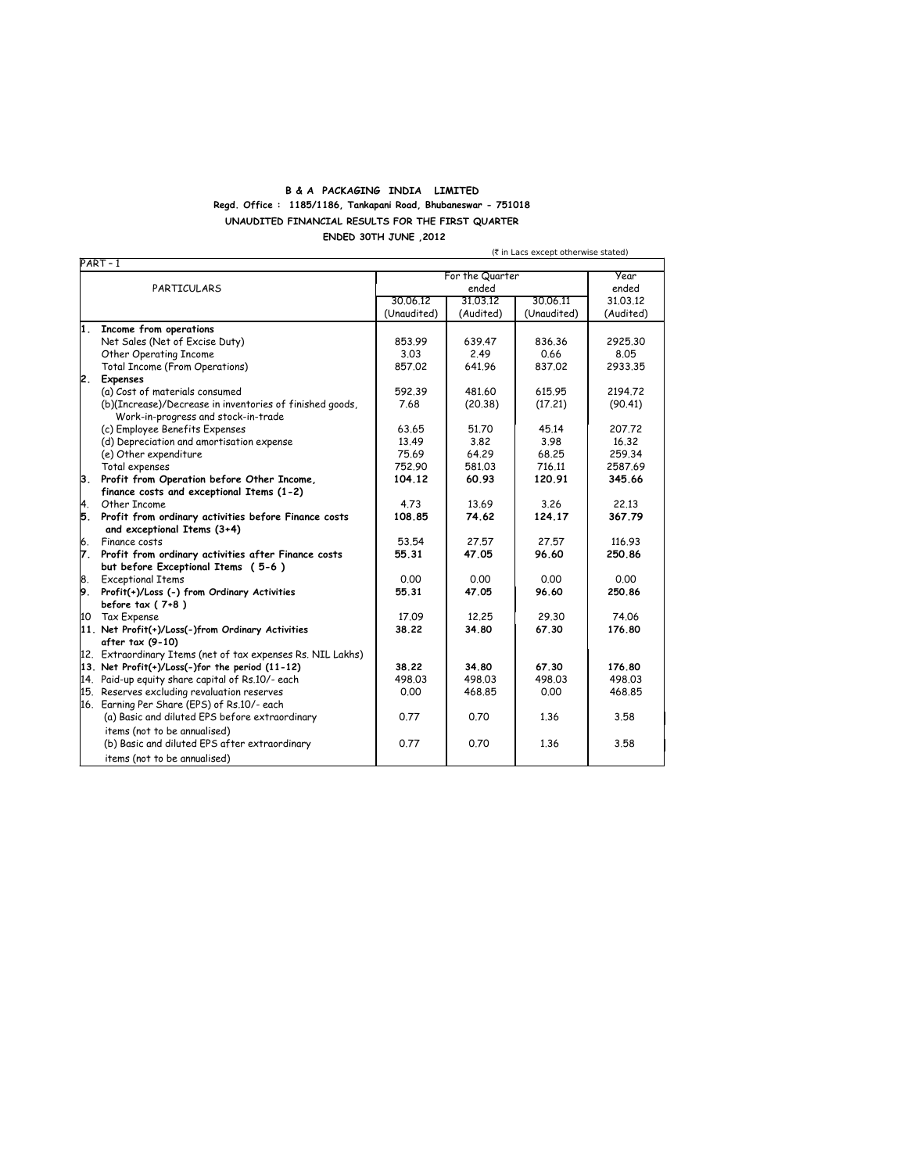## **B & A PACKAGING INDIA LIMITED Regd. Office : 1185/1186, Tankapani Road, Bhubaneswar - 751018 UNAUDITED FINANCIAL RESULTS FOR THE FIRST QUARTER ENDED 30TH JUNE ,2012**

PART – 1 For the Quarter **For the Quarter** PARTICULARS ended ended ended ended ended ended ended ended ended ended ended ended ended ended al. 03.12 million and ended ended ended ended ended ended ended ended ended ended ended ended ended ended ended ended ended en 30.06.12 31.03.12 30.06.11 31.03.12<br>(Unaudited) (Audited) (Unaudited) (Audited) (Unaudited) **1. Income from operations** Net Sales (Net of Excise Duty) 853.99 639.47 836.36 2925.30 Other Operating Income 3.03 2.49 0.66 8.05 Total Income (From Operations) **2. Expenses** (a) Cost of materials consumed<br>
(b) (Increase)/Decrease in inventories of finished goods.<br>
(b) (Increase)/Decrease in inventories of finished goods.<br>
(30.38) (17.21) (90.41) (b)(Increase)/Decrease in inventories of finished goods, Work-in-progress and stock-in-trade (c) Employee Benefits Expenses<br>
(d) Depreciation and amortisation expense  $\begin{array}{|c|c|c|c|c|c|c|c|} \hline \text{63.65} & \text{51.70} & \text{45.14} & \text{207.72} \ \hline \text{(d)} \text{Depreciation and amortisation expense} & \text{13.49} & \text{3.82} & \text{3.98} & \text{16.32} \ \hline \end{array}$ (d) Depreciation and amortisation expense  $($ e) 0.32  $)$  3.82 3.98 16.32<br>  $($ e) Other expenditure  $($ (e) Other expenditure 1.1 1.1 259.34<br>
Total expenses 1.1 2587.69 64.29 68.25 259.34<br>
Total expenses 1.2587.69 68.103 716.11 2587.69 Total expenses 752.90 581.03 716.11<br>Profit from Operation before Other Income, 104.12 60.93 120.91 **3. Profit from Operation before Other Income, 104.12 60.93 120.91 345.66 finance costs and exceptional Items (1-2)** 4. Other Income 4.73 13.69 3.26 22.13 **5. Profit from ordinary activities before Finance costs 108.85 74.62 124.17 367.79 and exceptional Items (3+4)** 6. Finance costs 53.54 27.57 27.57 116.93 **7. Profit from ordinary activities after Finance costs 55.31 47.05 96.60 250.86 but before Exceptional Items ( 5-6 )**  $\begin{array}{|l|c|c|c|c|c|}\n \hline 8. & \text{Exceptional Terms} & \text{Ordinary Activities} & \text{S5.31} & \text{A7.05} & \text{S6.60} & \text{S5.86}\n \hline \end{array}$ **9.** Profit(+)/Loss (-) from Ordinary Activities **before tax ( 7+8 )** 10 Tax Expense 17.09 | 12.25 | 29.30 | 74.06<br>11. Net Profit(+)/Loss(-)from Ordinary Activities | 38.22 | 34.80 | 67.30 | 176.80 11. Net Profit(+)/Loss(-)from Ordinary Activities **after tax (9-10)** 12. Extraordinary Items (net of tax expenses Rs. NIL Lakhs) **13. Net Profit(+)/Loss(-)for the period (11-12)** 38.22 34.80 67.30 176.80 **176.80**<br>14. Paid-up equity share capital of Rs.10/- each 498.03 498.03 498.03 498.03 498.03 14. Paid-up equity share capital of Rs.10/- each 498.03 498.03 498.03 498.03 15. Reserves excluding revaluation reserves 16. Earning Per Share (EPS) of Rs.10/- each (a) Basic and diluted EPS before extraordinary 10.77 0.70 1.36 3.58 (b) Basic and diluted EPS after extraordinary 0.77 0.70 1.36 3.58 'items (not to be annualised) 'items (not to be annualised)

(` in Lacs except otherwise stated)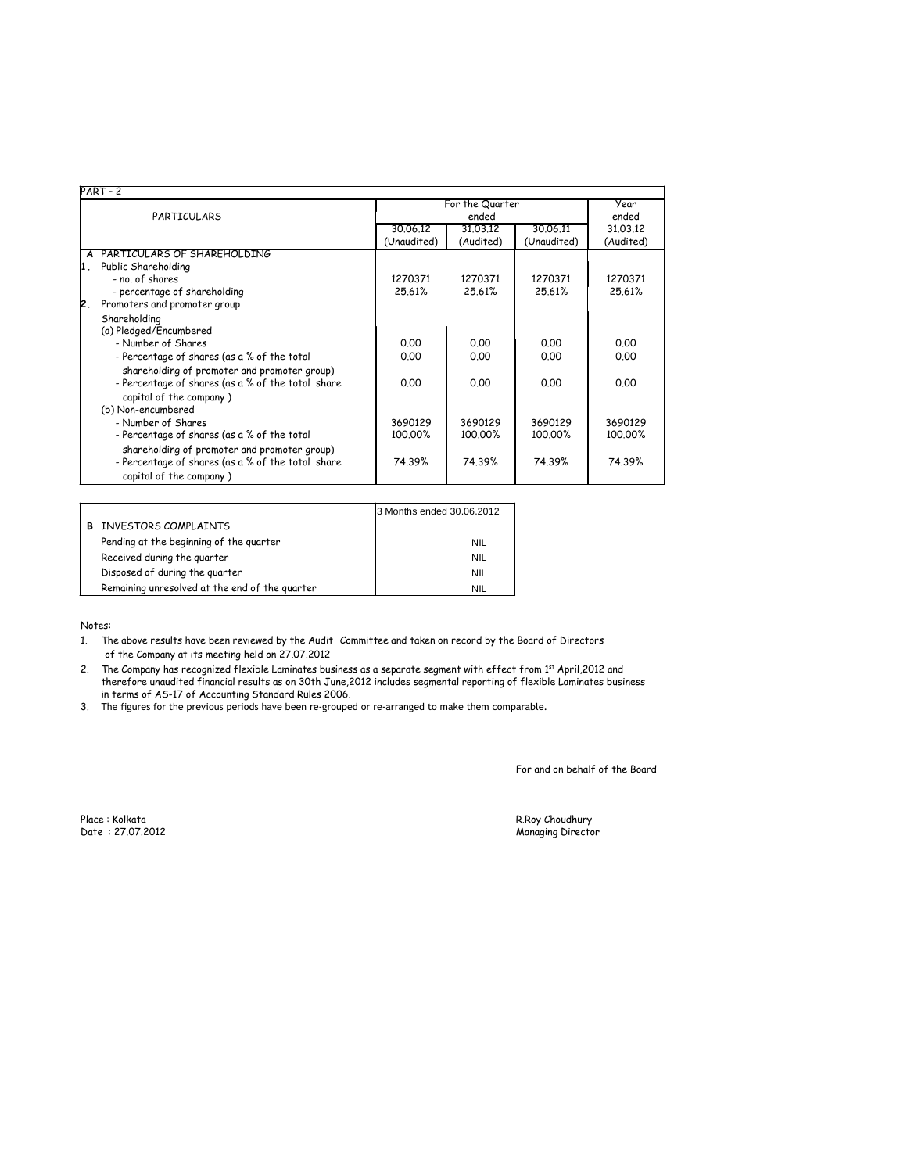|    | $PART-2$                                          |                |                 |             |           |  |
|----|---------------------------------------------------|----------------|-----------------|-------------|-----------|--|
|    |                                                   |                | For the Quarter |             |           |  |
|    | PARTICULARS                                       | ended<br>ended |                 |             |           |  |
|    |                                                   | 30.06.12       | 31.03.12        | 30.06.11    | 31.03.12  |  |
|    |                                                   | (Unaudited)    | (Audited)       | (Unaudited) | (Audited) |  |
|    | A PARTICULARS OF SHAREHOLDING                     |                |                 |             |           |  |
| 1. | Public Shareholding                               |                |                 |             |           |  |
|    | - no. of shares                                   | 1270371        | 1270371         | 1270371     | 1270371   |  |
|    | - percentage of shareholding                      | 25.61%         | 25.61%          | 25.61%      | 25.61%    |  |
| 2. | Promoters and promoter group                      |                |                 |             |           |  |
|    | Shareholding                                      |                |                 |             |           |  |
|    | (a) Pledged/Encumbered                            |                |                 |             |           |  |
|    | - Number of Shares                                | 0.00           | 0.00            | 0.00        | 0.00      |  |
|    | - Percentage of shares (as a % of the total       | 0.00           | 0.00            | 0.00        | 0.00      |  |
|    | shareholding of promoter and promoter group)      |                |                 |             |           |  |
|    | - Percentage of shares (as a % of the total share | 0.00           | 0.00            | 0.00        | 0.00      |  |
|    | capital of the company)                           |                |                 |             |           |  |
|    | (b) Non-encumbered                                |                |                 |             |           |  |
|    | - Number of Shares                                | 3690129        | 3690129         | 3690129     | 3690129   |  |
|    | - Percentage of shares (as a % of the total       | 100.00%        | 100.00%         | 100.00%     | 100.00%   |  |
|    | shareholding of promoter and promoter group)      |                |                 |             |           |  |
|    | - Percentage of shares (as a % of the total share | 74.39%         | 74.39%          | 74.39%      | 74.39%    |  |
|    | capital of the company)                           |                |                 |             |           |  |

|                                                | 3 Months ended 30.06.2012 |
|------------------------------------------------|---------------------------|
| INVESTORS COMPLAINTS                           |                           |
| Pending at the beginning of the quarter        | <b>NIL</b>                |
| Received during the quarter                    | <b>NIL</b>                |
| Disposed of during the quarter                 | <b>NIL</b>                |
| Remaining unresolved at the end of the quarter | <b>NIL</b>                |

Notes:

1. The above results have been reviewed by the Audit 'Committee and taken on record by the Board of Directors 'of the Company at its meeting held on 27.07.2012

2. therefore unaudited financial results as on 30th June,2012 includes segmental reporting of flexible Laminates business in terms of AS-17 of Accounting Standard Rules 2006. The Company has recognized flexible Laminates business as a separate segment with effect from 1st April,2012 and

3. The figures for the previous periods have been re-grouped or re-arranged to make them comparable.

For and on behalf of the Board

Place : Kolkata<br>Date : 27.07.2012

R.Roy Choudhury<br>Managing Director